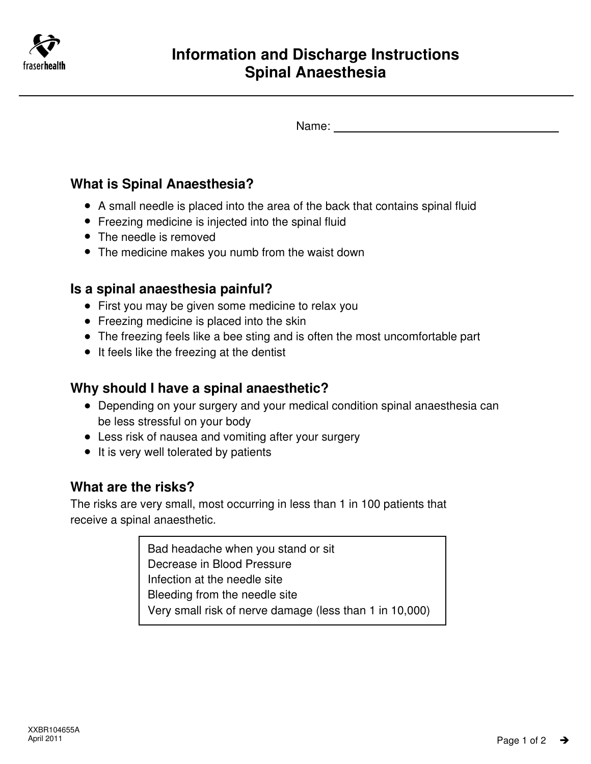

Name:

## **What is Spinal Anaesthesia?**

- A small needle is placed into the area of the back that contains spinal fluid
- Freezing medicine is injected into the spinal fluid
- The needle is removed
- The medicine makes you numb from the waist down

## **Is a spinal anaesthesia painful?**

- First you may be given some medicine to relax you
- Freezing medicine is placed into the skin
- The freezing feels like a bee sting and is often the most uncomfortable part
- It feels like the freezing at the dentist

## **Why should I have a spinal anaesthetic?**

- Depending on your surgery and your medical condition spinal anaesthesia can be less stressful on your body
- Less risk of nausea and vomiting after your surgery
- It is very well tolerated by patients

# **What are the risks?**

The risks are very small, most occurring in less than 1 in 100 patients that receive a spinal anaesthetic.

> Bad headache when you stand or sit Decrease in Blood Pressure Infection at the needle site Bleeding from the needle site Very small risk of nerve damage (less than 1 in 10,000)